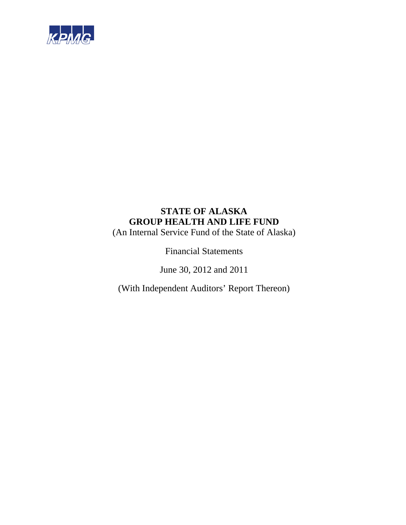

# **STATE OF ALASKA GROUP HEALTH AND LIFE FUND**

(An Internal Service Fund of the State of Alaska)

Financial Statements

June 30, 2012 and 2011

(With Independent Auditors' Report Thereon)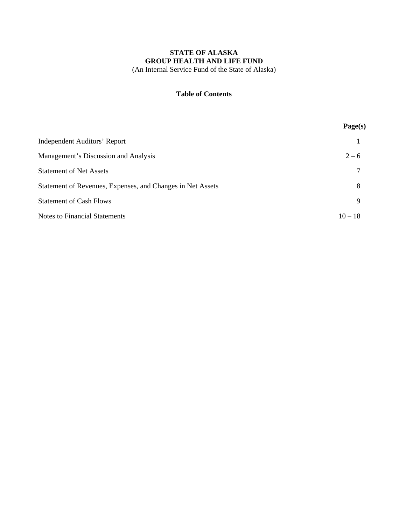#### **Table of Contents**

|                                                            | Page(s)   |
|------------------------------------------------------------|-----------|
| Independent Auditors' Report                               |           |
| Management's Discussion and Analysis                       | $2 - 6$   |
| <b>Statement of Net Assets</b>                             | 7         |
| Statement of Revenues, Expenses, and Changes in Net Assets | 8         |
| <b>Statement of Cash Flows</b>                             | 9         |
| <b>Notes to Financial Statements</b>                       | $10 - 18$ |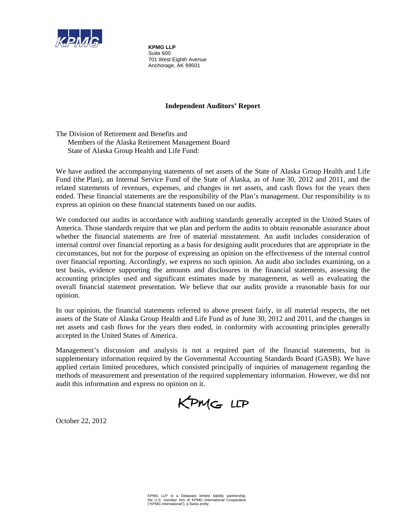

**KPMG LLP**  Suite 600 701 West Eighth Avenue Anchorage, AK 99501

## **Independent Auditors' Report**

The Division of Retirement and Benefits and Members of the Alaska Retirement Management Board State of Alaska Group Health and Life Fund:

We have audited the accompanying statements of net assets of the State of Alaska Group Health and Life Fund (the Plan), an Internal Service Fund of the State of Alaska, as of June 30, 2012 and 2011, and the related statements of revenues, expenses, and changes in net assets, and cash flows for the years then ended. These financial statements are the responsibility of the Plan's management. Our responsibility is to express an opinion on these financial statements based on our audits.

We conducted our audits in accordance with auditing standards generally accepted in the United States of America. Those standards require that we plan and perform the audits to obtain reasonable assurance about whether the financial statements are free of material misstatement. An audit includes consideration of internal control over financial reporting as a basis for designing audit procedures that are appropriate in the circumstances, but not for the purpose of expressing an opinion on the effectiveness of the internal control over financial reporting. Accordingly, we express no such opinion. An audit also includes examining, on a test basis, evidence supporting the amounts and disclosures in the financial statements, assessing the accounting principles used and significant estimates made by management, as well as evaluating the overall financial statement presentation. We believe that our audits provide a reasonable basis for our opinion.

In our opinion, the financial statements referred to above present fairly, in all material respects, the net assets of the State of Alaska Group Health and Life Fund as of June 30, 2012 and 2011, and the changes in net assets and cash flows for the years then ended, in conformity with accounting principles generally accepted in the United States of America.

Management's discussion and analysis is not a required part of the financial statements, but is supplementary information required by the Governmental Accounting Standards Board (GASB). We have applied certain limited procedures, which consisted principally of inquiries of management regarding the methods of measurement and presentation of the required supplementary information. However, we did not audit this information and express no opinion on it.

KPMG LLP

October 22, 2012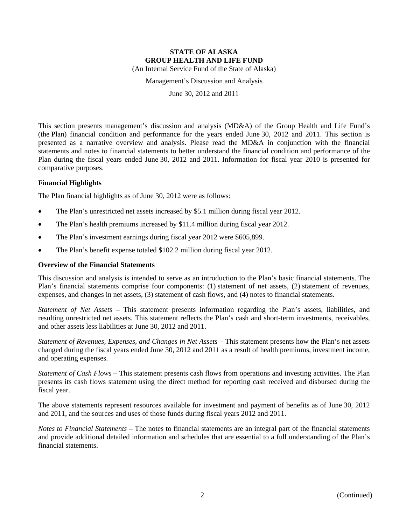Management's Discussion and Analysis

June 30, 2012 and 2011

This section presents management's discussion and analysis (MD&A) of the Group Health and Life Fund's (the Plan) financial condition and performance for the years ended June 30, 2012 and 2011. This section is presented as a narrative overview and analysis. Please read the MD&A in conjunction with the financial statements and notes to financial statements to better understand the financial condition and performance of the Plan during the fiscal years ended June 30, 2012 and 2011. Information for fiscal year 2010 is presented for comparative purposes.

#### **Financial Highlights**

The Plan financial highlights as of June 30, 2012 were as follows:

- The Plan's unrestricted net assets increased by \$5.1 million during fiscal year 2012.
- The Plan's health premiums increased by \$11.4 million during fiscal year 2012.
- The Plan's investment earnings during fiscal year 2012 were \$605,899.
- The Plan's benefit expense totaled \$102.2 million during fiscal year 2012.

#### **Overview of the Financial Statements**

This discussion and analysis is intended to serve as an introduction to the Plan's basic financial statements. The Plan's financial statements comprise four components: (1) statement of net assets, (2) statement of revenues, expenses, and changes in net assets, (3) statement of cash flows, and (4) notes to financial statements.

*Statement of Net Assets* – This statement presents information regarding the Plan's assets, liabilities, and resulting unrestricted net assets. This statement reflects the Plan's cash and short-term investments, receivables, and other assets less liabilities at June 30, 2012 and 2011.

*Statement of Revenues, Expenses, and Changes in Net Assets* – This statement presents how the Plan's net assets changed during the fiscal years ended June 30, 2012 and 2011 as a result of health premiums, investment income, and operating expenses.

*Statement of Cash Flows* – This statement presents cash flows from operations and investing activities. The Plan presents its cash flows statement using the direct method for reporting cash received and disbursed during the fiscal year.

The above statements represent resources available for investment and payment of benefits as of June 30, 2012 and 2011, and the sources and uses of those funds during fiscal years 2012 and 2011.

*Notes to Financial Statements* – The notes to financial statements are an integral part of the financial statements and provide additional detailed information and schedules that are essential to a full understanding of the Plan's financial statements.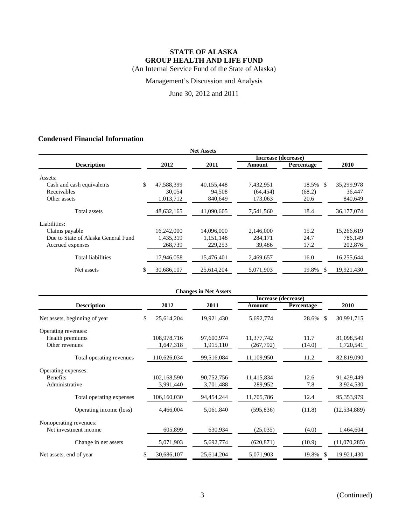Management's Discussion and Analysis

June 30, 2012 and 2011

## **Condensed Financial Information**

|                                     |                  | <b>Net Assets</b> |                     |                        |            |
|-------------------------------------|------------------|-------------------|---------------------|------------------------|------------|
|                                     |                  |                   | Increase (decrease) |                        |            |
| <b>Description</b>                  | 2012             | 2011              | Amount              | Percentage             | 2010       |
| Assets:                             |                  |                   |                     |                        |            |
| Cash and cash equivalents           | \$<br>47,588,399 | 40,155,448        | 7,432,951           | 18.5%<br><sup>\$</sup> | 35,299,978 |
| Receivables                         | 30.054           | 94.508            | (64, 454)           | (68.2)                 | 36,447     |
| Other assets                        | 1,013,712        | 840,649           | 173,063             | 20.6                   | 840,649    |
| Total assets                        | 48,632,165       | 41,090,605        | 7,541,560           | 18.4                   | 36,177,074 |
| Liabilities:                        |                  |                   |                     |                        |            |
| Claims payable                      | 16.242,000       | 14,096,000        | 2.146,000           | 15.2                   | 15,266,619 |
| Due to State of Alaska General Fund | 1,435,319        | 1,151,148         | 284.171             | 24.7                   | 786,149    |
| Accrued expenses                    | 268,739          | 229,253           | 39,486              | 17.2                   | 202,876    |
| Total liabilities                   | 17,946,058       | 15,476,401        | 2,469,657           | 16.0                   | 16,255,644 |
| Net assets                          | \$<br>30.686.107 | 25,614,204        | 5,071,903           | 19.8%<br>S             | 19.921.430 |

|                               | <b>Changes in Net Assets</b> |                     |            |            |             |                |  |  |  |  |  |  |
|-------------------------------|------------------------------|---------------------|------------|------------|-------------|----------------|--|--|--|--|--|--|
|                               |                              | Increase (decrease) |            |            |             |                |  |  |  |  |  |  |
| <b>Description</b>            |                              | 2012                | 2011       | Amount     | Percentage  | 2010           |  |  |  |  |  |  |
| Net assets, beginning of year | \$                           | 25,614,204          | 19,921,430 | 5,692,774  | 28.6%<br>-S | 30,991,715     |  |  |  |  |  |  |
| Operating revenues:           |                              |                     |            |            |             |                |  |  |  |  |  |  |
| Health premiums               |                              | 108,978,716         | 97,600,974 | 11,377,742 | 11.7        | 81,098,549     |  |  |  |  |  |  |
| Other revenues                |                              | 1,647,318           | 1,915,110  | (267, 792) | (14.0)      | 1,720,541      |  |  |  |  |  |  |
| Total operating revenues      |                              | 110,626,034         | 99,516,084 | 11,109,950 | 11.2        | 82,819,090     |  |  |  |  |  |  |
| Operating expenses:           |                              |                     |            |            |             |                |  |  |  |  |  |  |
| <b>Benefits</b>               |                              | 102,168,590         | 90,752,756 | 11,415,834 | 12.6        | 91,429,449     |  |  |  |  |  |  |
| Administrative                |                              | 3,991,440           | 3,701,488  | 289,952    | 7.8         | 3,924,530      |  |  |  |  |  |  |
| Total operating expenses      |                              | 106,160,030         | 94,454,244 | 11,705,786 | 12.4        | 95,353,979     |  |  |  |  |  |  |
| Operating income (loss)       |                              | 4,466,004           | 5,061,840  | (595, 836) | (11.8)      | (12, 534, 889) |  |  |  |  |  |  |
| Nonoperating revenues:        |                              |                     |            |            |             |                |  |  |  |  |  |  |
| Net investment income         |                              | 605,899             | 630,934    | (25,035)   | (4.0)       | 1,464,604      |  |  |  |  |  |  |
| Change in net assets          |                              | 5,071,903           | 5,692,774  | (620, 871) | (10.9)      | (11,070,285)   |  |  |  |  |  |  |
| Net assets, end of year       | \$                           | 30,686,107          | 25,614,204 | 5,071,903  | 19.8%<br>-S | 19,921,430     |  |  |  |  |  |  |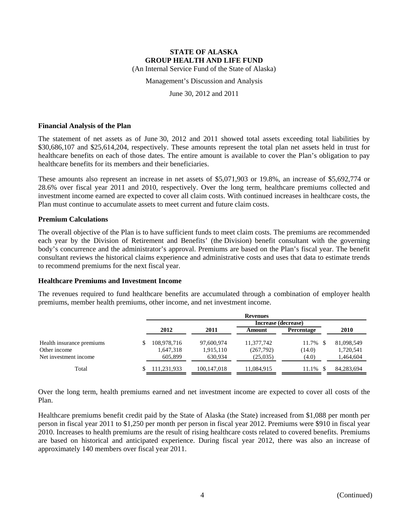Management's Discussion and Analysis

June 30, 2012 and 2011

#### **Financial Analysis of the Plan**

The statement of net assets as of June 30, 2012 and 2011 showed total assets exceeding total liabilities by \$30,686,107 and \$25,614,204, respectively. These amounts represent the total plan net assets held in trust for healthcare benefits on each of those dates. The entire amount is available to cover the Plan's obligation to pay healthcare benefits for its members and their beneficiaries.

These amounts also represent an increase in net assets of \$5,071,903 or 19.8%, an increase of \$5,692,774 or 28.6% over fiscal year 2011 and 2010, respectively. Over the long term, healthcare premiums collected and investment income earned are expected to cover all claim costs. With continued increases in healthcare costs, the Plan must continue to accumulate assets to meet current and future claim costs.

#### **Premium Calculations**

The overall objective of the Plan is to have sufficient funds to meet claim costs. The premiums are recommended each year by the Division of Retirement and Benefits' (the Division) benefit consultant with the governing body's concurrence and the administrator's approval. Premiums are based on the Plan's fiscal year. The benefit consultant reviews the historical claims experience and administrative costs and uses that data to estimate trends to recommend premiums for the next fiscal year.

#### **Healthcare Premiums and Investment Income**

The revenues required to fund healthcare benefits are accumulated through a combination of employer health premiums, member health premiums, other income, and net investment income.

|                           | <b>Revenues</b> |             |            |            |            |  |  |
|---------------------------|-----------------|-------------|------------|------------|------------|--|--|
|                           |                 |             |            |            |            |  |  |
|                           | 2012            | 2011        | Amount     | Percentage | 2010       |  |  |
| Health insurance premiums | 108,978,716     | 97,600,974  | 11,377,742 | 11.7%      | 81,098,549 |  |  |
| Other income              | 1,647,318       | 1,915,110   | (267,792)  | (14.0)     | 1,720,541  |  |  |
| Net investment income     | 605,899         | 630,934     | (25,035)   | (4.0)      | 1,464,604  |  |  |
| Total                     | 111,231,933     | 100.147.018 | 11.084.915 | 11.1%      | 84,283,694 |  |  |

Over the long term, health premiums earned and net investment income are expected to cover all costs of the Plan.

Healthcare premiums benefit credit paid by the State of Alaska (the State) increased from \$1,088 per month per person in fiscal year 2011 to \$1,250 per month per person in fiscal year 2012. Premiums were \$910 in fiscal year 2010. Increases to health premiums are the result of rising healthcare costs related to covered benefits. Premiums are based on historical and anticipated experience. During fiscal year 2012, there was also an increase of approximately 140 members over fiscal year 2011.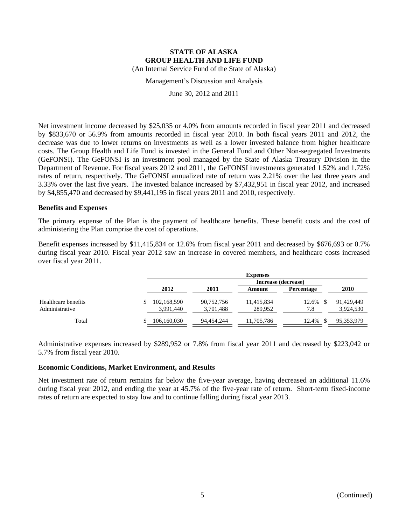Management's Discussion and Analysis

June 30, 2012 and 2011

Net investment income decreased by \$25,035 or 4.0% from amounts recorded in fiscal year 2011 and decreased by \$833,670 or 56.9% from amounts recorded in fiscal year 2010. In both fiscal years 2011 and 2012, the decrease was due to lower returns on investments as well as a lower invested balance from higher healthcare costs. The Group Health and Life Fund is invested in the General Fund and Other Non-segregated Investments (GeFONSI). The GeFONSI is an investment pool managed by the State of Alaska Treasury Division in the Department of Revenue. For fiscal years 2012 and 2011, the GeFONSI investments generated 1.52% and 1.72% rates of return, respectively. The GeFONSI annualized rate of return was 2.21% over the last three years and 3.33% over the last five years. The invested balance increased by \$7,432,951 in fiscal year 2012, and increased by \$4,855,470 and decreased by \$9,441,195 in fiscal years 2011 and 2010, respectively.

#### **Benefits and Expenses**

The primary expense of the Plan is the payment of healthcare benefits. These benefit costs and the cost of administering the Plan comprise the cost of operations.

Benefit expenses increased by \$11,415,834 or 12.6% from fiscal year 2011 and decreased by \$676,693 or 0.7% during fiscal year 2010. Fiscal year 2012 saw an increase in covered members, and healthcare costs increased over fiscal year 2011.

|                     | <b>Expenses</b> |                     |            |                   |            |  |  |  |
|---------------------|-----------------|---------------------|------------|-------------------|------------|--|--|--|
|                     |                 | Increase (decrease) |            |                   |            |  |  |  |
|                     | 2012            | 2011                | Amount     | <b>Percentage</b> | 2010       |  |  |  |
| Healthcare benefits | 102,168,590     | 90,752,756          | 11,415,834 | $12.6\%$ \$       | 91,429,449 |  |  |  |
| Administrative      | 3,991,440       | 3,701,488           | 289,952    | 7.8               | 3,924,530  |  |  |  |
| Total               | 106,160,030     | 94,454,244          | 11,705,786 | 12.4%             | 95,353,979 |  |  |  |

Administrative expenses increased by \$289,952 or 7.8% from fiscal year 2011 and decreased by \$223,042 or 5.7% from fiscal year 2010.

#### **Economic Conditions, Market Environment, and Results**

Net investment rate of return remains far below the five-year average, having decreased an additional 11.6% during fiscal year 2012, and ending the year at 45.7% of the five-year rate of return. Short-term fixed-income rates of return are expected to stay low and to continue falling during fiscal year 2013.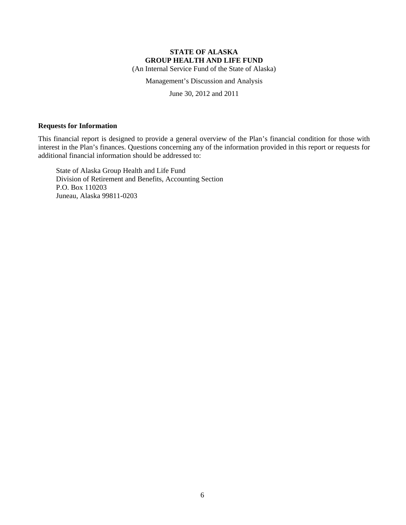## **STATE OF ALASKA GROUP HEALTH AND LIFE FUND**

(An Internal Service Fund of the State of Alaska)

Management's Discussion and Analysis

June 30, 2012 and 2011

#### **Requests for Information**

This financial report is designed to provide a general overview of the Plan's financial condition for those with interest in the Plan's finances. Questions concerning any of the information provided in this report or requests for additional financial information should be addressed to:

State of Alaska Group Health and Life Fund Division of Retirement and Benefits, Accounting Section P.O. Box 110203 Juneau, Alaska 99811-0203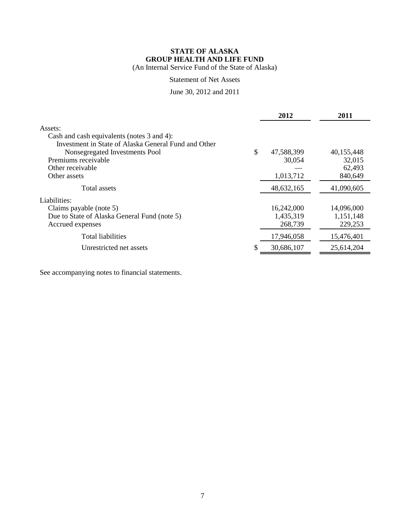## **STATE OF ALASKA GROUP HEALTH AND LIFE FUND**

(An Internal Service Fund of the State of Alaska)

## Statement of Net Assets

## June 30, 2012 and 2011

|                                                      | 2012             | 2011       |
|------------------------------------------------------|------------------|------------|
| Assets:                                              |                  |            |
| Cash and cash equivalents (notes 3 and 4):           |                  |            |
| Investment in State of Alaska General Fund and Other |                  |            |
| Nonsegregated Investments Pool                       | \$<br>47,588,399 | 40,155,448 |
| Premiums receivable                                  | 30,054           | 32,015     |
| Other receivable                                     |                  | 62,493     |
| Other assets                                         | 1,013,712        | 840,649    |
| Total assets                                         | 48,632,165       | 41,090,605 |
| Liabilities:                                         |                  |            |
| Claims payable (note 5)                              | 16,242,000       | 14,096,000 |
| Due to State of Alaska General Fund (note 5)         | 1,435,319        | 1,151,148  |
| Accrued expenses                                     | 268,739          | 229,253    |
|                                                      |                  |            |
| <b>Total liabilities</b>                             | 17,946,058       | 15,476,401 |
| Unrestricted net assets                              | 30,686,107       | 25,614,204 |
|                                                      |                  |            |

See accompanying notes to financial statements.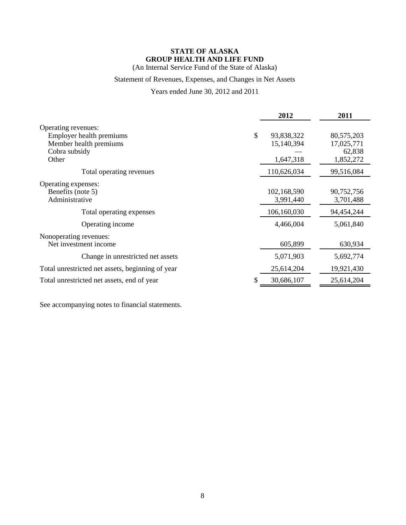## **STATE OF ALASKA GROUP HEALTH AND LIFE FUND**

(An Internal Service Fund of the State of Alaska)

## Statement of Revenues, Expenses, and Changes in Net Assets

Years ended June 30, 2012 and 2011

|                                                  | 2012             | 2011       |
|--------------------------------------------------|------------------|------------|
| Operating revenues:                              |                  |            |
| Employer health premiums                         | \$<br>93,838,322 | 80,575,203 |
| Member health premiums                           | 15,140,394       | 17,025,771 |
| Cobra subsidy                                    |                  | 62,838     |
| Other                                            | 1,647,318        | 1,852,272  |
| Total operating revenues                         | 110,626,034      | 99,516,084 |
| Operating expenses:                              |                  |            |
| Benefits (note 5)                                | 102,168,590      | 90,752,756 |
| Administrative                                   | 3,991,440        | 3,701,488  |
| Total operating expenses                         | 106,160,030      | 94,454,244 |
| Operating income                                 | 4,466,004        | 5,061,840  |
| Nonoperating revenues:                           |                  |            |
| Net investment income                            | 605,899          | 630,934    |
| Change in unrestricted net assets                | 5,071,903        | 5,692,774  |
| Total unrestricted net assets, beginning of year | 25,614,204       | 19,921,430 |
| Total unrestricted net assets, end of year       | 30,686,107       | 25,614,204 |

See accompanying notes to financial statements.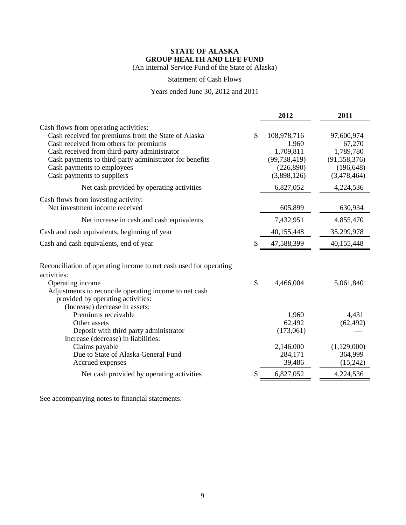## **STATE OF ALASKA GROUP HEALTH AND LIFE FUND**

(An Internal Service Fund of the State of Alaska)

## Statement of Cash Flows

## Years ended June 30, 2012 and 2011

|                                                                                                                                                                                                                                                                                                               |    | 2012                                                                             | 2011                                                                             |
|---------------------------------------------------------------------------------------------------------------------------------------------------------------------------------------------------------------------------------------------------------------------------------------------------------------|----|----------------------------------------------------------------------------------|----------------------------------------------------------------------------------|
| Cash flows from operating activities:<br>Cash received for premiums from the State of Alaska<br>Cash received from others for premiums<br>Cash received from third-party administrator<br>Cash payments to third-party administrator for benefits<br>Cash payments to employees<br>Cash payments to suppliers | \$ | 108,978,716<br>1,960<br>1,709,811<br>(99, 738, 419)<br>(226, 890)<br>(3,898,126) | 97,600,974<br>67,270<br>1,789,780<br>(91, 558, 376)<br>(196, 648)<br>(3,478,464) |
| Net cash provided by operating activities                                                                                                                                                                                                                                                                     |    | 6,827,052                                                                        | 4,224,536                                                                        |
| Cash flows from investing activity:<br>Net investment income received                                                                                                                                                                                                                                         |    | 605,899                                                                          | 630,934                                                                          |
| Net increase in cash and cash equivalents                                                                                                                                                                                                                                                                     |    | 7,432,951                                                                        | 4,855,470                                                                        |
| Cash and cash equivalents, beginning of year                                                                                                                                                                                                                                                                  |    | 40,155,448                                                                       | 35,299,978                                                                       |
| Cash and cash equivalents, end of year                                                                                                                                                                                                                                                                        | S. | 47,588,399                                                                       | 40,155,448                                                                       |
| Reconciliation of operating income to net cash used for operating<br>activities:<br>Operating income<br>Adjustments to reconcile operating income to net cash<br>provided by operating activities:<br>(Increase) decrease in assets:                                                                          | \$ | 4,466,004                                                                        | 5,061,840                                                                        |
| Premiums receivable<br>Other assets<br>Deposit with third party administrator<br>Increase (decrease) in liabilities:<br>Claims payable<br>Due to State of Alaska General Fund                                                                                                                                 |    | 1,960<br>62,492<br>(173,061)<br>2,146,000<br>284,171                             | 4,431<br>(62, 492)<br>(1,129,000)<br>364,999                                     |
| Accrued expenses                                                                                                                                                                                                                                                                                              |    | 39,486                                                                           | (15, 242)                                                                        |
| Net cash provided by operating activities                                                                                                                                                                                                                                                                     | S  | 6,827,052                                                                        | 4,224,536                                                                        |

See accompanying notes to financial statements.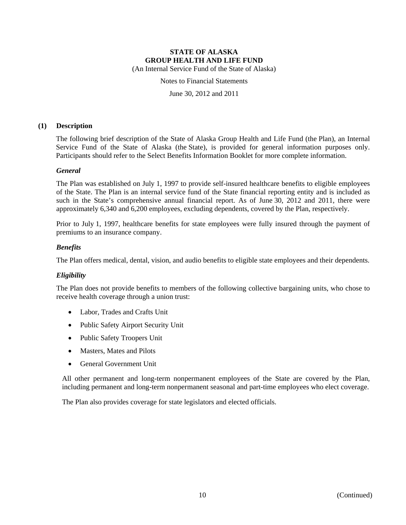Notes to Financial Statements

June 30, 2012 and 2011

### **(1) Description**

The following brief description of the State of Alaska Group Health and Life Fund (the Plan), an Internal Service Fund of the State of Alaska (the State), is provided for general information purposes only. Participants should refer to the Select Benefits Information Booklet for more complete information.

## *General*

The Plan was established on July 1, 1997 to provide self-insured healthcare benefits to eligible employees of the State. The Plan is an internal service fund of the State financial reporting entity and is included as such in the State's comprehensive annual financial report. As of June 30, 2012 and 2011, there were approximately 6,340 and 6,200 employees, excluding dependents, covered by the Plan, respectively.

Prior to July 1, 1997, healthcare benefits for state employees were fully insured through the payment of premiums to an insurance company.

## *Benefits*

The Plan offers medical, dental, vision, and audio benefits to eligible state employees and their dependents.

## *Eligibility*

The Plan does not provide benefits to members of the following collective bargaining units, who chose to receive health coverage through a union trust:

- Labor, Trades and Crafts Unit
- Public Safety Airport Security Unit
- Public Safety Troopers Unit
- Masters, Mates and Pilots
- General Government Unit

All other permanent and long-term nonpermanent employees of the State are covered by the Plan, including permanent and long-term nonpermanent seasonal and part-time employees who elect coverage.

The Plan also provides coverage for state legislators and elected officials.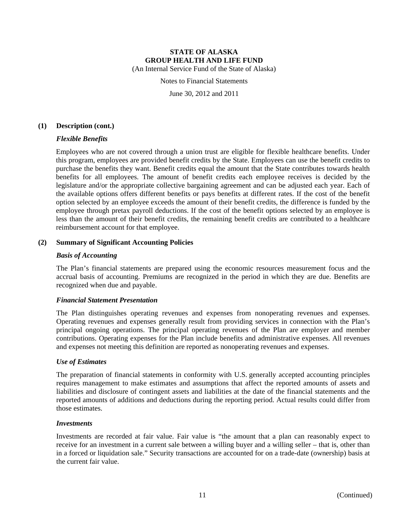Notes to Financial Statements

June 30, 2012 and 2011

#### **(1) Description (cont.)**

#### *Flexible Benefits*

Employees who are not covered through a union trust are eligible for flexible healthcare benefits. Under this program, employees are provided benefit credits by the State. Employees can use the benefit credits to purchase the benefits they want. Benefit credits equal the amount that the State contributes towards health benefits for all employees. The amount of benefit credits each employee receives is decided by the legislature and/or the appropriate collective bargaining agreement and can be adjusted each year. Each of the available options offers different benefits or pays benefits at different rates. If the cost of the benefit option selected by an employee exceeds the amount of their benefit credits, the difference is funded by the employee through pretax payroll deductions. If the cost of the benefit options selected by an employee is less than the amount of their benefit credits, the remaining benefit credits are contributed to a healthcare reimbursement account for that employee.

#### **(2) Summary of Significant Accounting Policies**

#### *Basis of Accounting*

The Plan's financial statements are prepared using the economic resources measurement focus and the accrual basis of accounting. Premiums are recognized in the period in which they are due. Benefits are recognized when due and payable.

#### *Financial Statement Presentation*

The Plan distinguishes operating revenues and expenses from nonoperating revenues and expenses. Operating revenues and expenses generally result from providing services in connection with the Plan's principal ongoing operations. The principal operating revenues of the Plan are employer and member contributions. Operating expenses for the Plan include benefits and administrative expenses. All revenues and expenses not meeting this definition are reported as nonoperating revenues and expenses.

#### *Use of Estimates*

The preparation of financial statements in conformity with U.S. generally accepted accounting principles requires management to make estimates and assumptions that affect the reported amounts of assets and liabilities and disclosure of contingent assets and liabilities at the date of the financial statements and the reported amounts of additions and deductions during the reporting period. Actual results could differ from those estimates.

#### *Investments*

Investments are recorded at fair value. Fair value is "the amount that a plan can reasonably expect to receive for an investment in a current sale between a willing buyer and a willing seller – that is, other than in a forced or liquidation sale." Security transactions are accounted for on a trade-date (ownership) basis at the current fair value.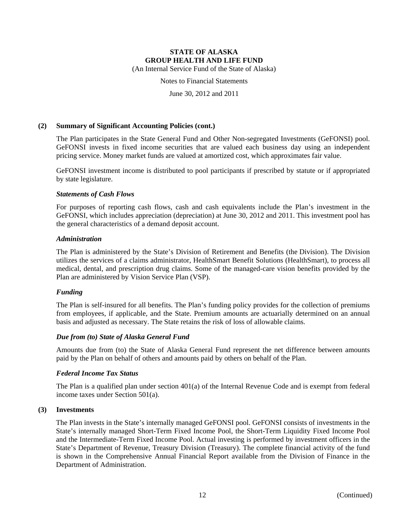Notes to Financial Statements

June 30, 2012 and 2011

#### **(2) Summary of Significant Accounting Policies (cont.)**

The Plan participates in the State General Fund and Other Non-segregated Investments (GeFONSI) pool. GeFONSI invests in fixed income securities that are valued each business day using an independent pricing service. Money market funds are valued at amortized cost, which approximates fair value.

GeFONSI investment income is distributed to pool participants if prescribed by statute or if appropriated by state legislature.

#### *Statements of Cash Flows*

For purposes of reporting cash flows, cash and cash equivalents include the Plan's investment in the GeFONSI, which includes appreciation (depreciation) at June 30, 2012 and 2011. This investment pool has the general characteristics of a demand deposit account.

#### *Administration*

The Plan is administered by the State's Division of Retirement and Benefits (the Division). The Division utilizes the services of a claims administrator, HealthSmart Benefit Solutions (HealthSmart), to process all medical, dental, and prescription drug claims. Some of the managed-care vision benefits provided by the Plan are administered by Vision Service Plan (VSP).

## *Funding*

The Plan is self-insured for all benefits. The Plan's funding policy provides for the collection of premiums from employees, if applicable, and the State. Premium amounts are actuarially determined on an annual basis and adjusted as necessary. The State retains the risk of loss of allowable claims.

## *Due from (to) State of Alaska General Fund*

Amounts due from (to) the State of Alaska General Fund represent the net difference between amounts paid by the Plan on behalf of others and amounts paid by others on behalf of the Plan.

## *Federal Income Tax Status*

The Plan is a qualified plan under section 401(a) of the Internal Revenue Code and is exempt from federal income taxes under Section 501(a).

#### **(3) Investments**

The Plan invests in the State's internally managed GeFONSI pool. GeFONSI consists of investments in the State's internally managed Short-Term Fixed Income Pool, the Short-Term Liquidity Fixed Income Pool and the Intermediate-Term Fixed Income Pool. Actual investing is performed by investment officers in the State's Department of Revenue, Treasury Division (Treasury). The complete financial activity of the fund is shown in the Comprehensive Annual Financial Report available from the Division of Finance in the Department of Administration.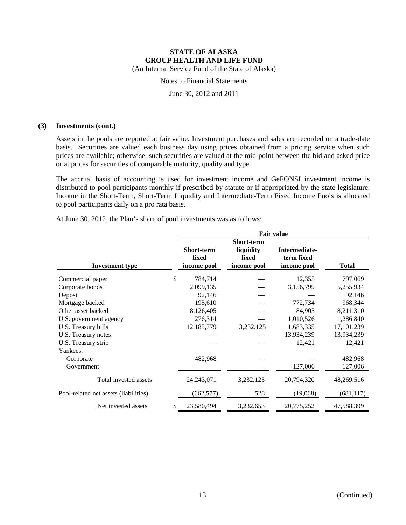Notes to Financial Statements

June 30, 2012 and 2011

#### **(3) Investments (cont.)**

Assets in the pools are reported at fair value. Investment purchases and sales are recorded on a trade-date basis. Securities are valued each business day using prices obtained from a pricing service when such prices are available; otherwise, such securities are valued at the mid-point between the bid and asked price or at prices for securities of comparable maturity, quality and type.

The accrual basis of accounting is used for investment income and GeFONSI investment income is distributed to pool participants monthly if prescribed by statute or if appropriated by the state legislature. Income in the Short-Term, Short-Term Liquidity and Intermediate-Term Fixed Income Pools is allocated to pool participants daily on a pro rata basis.

At June 30, 2012, the Plan's share of pool investments was as follows:

|                                       | <b>Fair value</b>                         |                                                        |                                            |              |  |  |  |
|---------------------------------------|-------------------------------------------|--------------------------------------------------------|--------------------------------------------|--------------|--|--|--|
| <b>Investment type</b>                | <b>Short-term</b><br>fixed<br>income pool | <b>Short-term</b><br>liquidity<br>fixed<br>income pool | Intermediate-<br>term fixed<br>income pool | <b>Total</b> |  |  |  |
| Commercial paper                      | \$<br>784,714                             |                                                        | 12,355                                     | 797,069      |  |  |  |
| Corporate bonds                       | 2,099,135                                 |                                                        | 3,156,799                                  | 5,255,934    |  |  |  |
| Deposit                               | 92,146                                    |                                                        |                                            | 92,146       |  |  |  |
| Mortgage backed                       | 195,610                                   |                                                        | 772,734                                    | 968,344      |  |  |  |
| Other asset backed                    | 8,126,405                                 |                                                        | 84,905                                     | 8,211,310    |  |  |  |
| U.S. government agency                | 276,314                                   |                                                        | 1,010,526                                  | 1,286,840    |  |  |  |
| U.S. Treasury bills                   | 12,185,779                                | 3,232,125                                              | 1,683,335                                  | 17,101,239   |  |  |  |
| U.S. Treasury notes                   |                                           |                                                        | 13,934,239                                 | 13,934,239   |  |  |  |
| U.S. Treasury strip                   |                                           |                                                        | 12,421                                     | 12,421       |  |  |  |
| Yankees:                              |                                           |                                                        |                                            |              |  |  |  |
| Corporate                             | 482,968                                   |                                                        |                                            | 482,968      |  |  |  |
| Government                            |                                           |                                                        | 127,006                                    | 127,006      |  |  |  |
| Total invested assets                 | 24, 243, 071                              | 3,232,125                                              | 20,794,320                                 | 48,269,516   |  |  |  |
| Pool-related net assets (liabilities) | (662, 577)                                | 528                                                    | (19,068)                                   | (681, 117)   |  |  |  |
| Net invested assets                   | \$<br>23,580,494                          | 3,232,653                                              | 20,775,252                                 | 47,588,399   |  |  |  |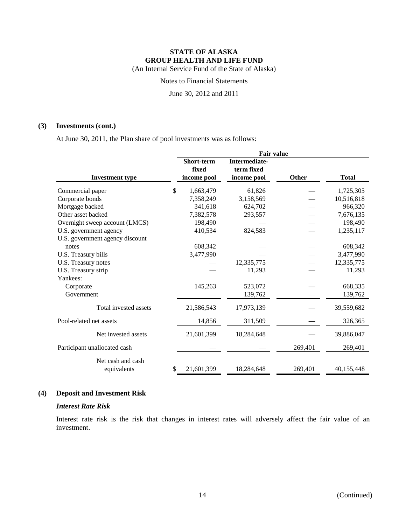Notes to Financial Statements

June 30, 2012 and 2011

#### **(3) Investments (cont.)**

At June 30, 2011, the Plan share of pool investments was as follows:

|                                 | <b>Fair value</b> |               |         |              |  |  |
|---------------------------------|-------------------|---------------|---------|--------------|--|--|
|                                 | Short-term        | Intermediate- |         |              |  |  |
|                                 | fixed             | term fixed    |         |              |  |  |
| <b>Investment type</b>          | income pool       | income pool   | Other   | <b>Total</b> |  |  |
| Commercial paper                | \$<br>1,663,479   | 61,826        |         | 1,725,305    |  |  |
| Corporate bonds                 | 7,358,249         | 3,158,569     |         | 10,516,818   |  |  |
| Mortgage backed                 | 341,618           | 624,702       |         | 966,320      |  |  |
| Other asset backed              | 7,382,578         | 293,557       |         | 7,676,135    |  |  |
| Overnight sweep account (LMCS)  | 198,490           |               |         | 198,490      |  |  |
| U.S. government agency          | 410,534           | 824,583       |         | 1,235,117    |  |  |
| U.S. government agency discount |                   |               |         |              |  |  |
| notes                           | 608,342           |               |         | 608,342      |  |  |
| U.S. Treasury bills             | 3,477,990         |               |         | 3,477,990    |  |  |
| U.S. Treasury notes             |                   | 12,335,775    |         | 12,335,775   |  |  |
| U.S. Treasury strip             |                   | 11,293        |         | 11,293       |  |  |
| Yankees:                        |                   |               |         |              |  |  |
| Corporate                       | 145,263           | 523,072       |         | 668,335      |  |  |
| Government                      |                   | 139,762       |         | 139,762      |  |  |
| Total invested assets           | 21,586,543        | 17,973,139    |         | 39,559,682   |  |  |
| Pool-related net assets         | 14,856            | 311,509       |         | 326,365      |  |  |
| Net invested assets             | 21,601,399        | 18,284,648    |         | 39,886,047   |  |  |
| Participant unallocated cash    |                   |               | 269,401 | 269,401      |  |  |
| Net cash and cash               |                   |               |         |              |  |  |
| equivalents                     | \$<br>21,601,399  | 18,284,648    | 269,401 | 40,155,448   |  |  |

#### **(4) Deposit and Investment Risk**

#### *Interest Rate Risk*

Interest rate risk is the risk that changes in interest rates will adversely affect the fair value of an investment.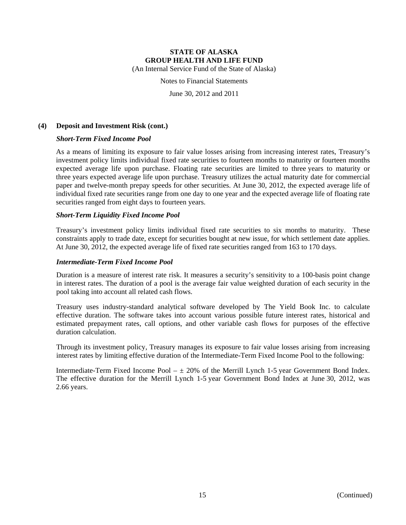Notes to Financial Statements

June 30, 2012 and 2011

#### **(4) Deposit and Investment Risk (cont.)**

#### *Short-Term Fixed Income Pool*

As a means of limiting its exposure to fair value losses arising from increasing interest rates, Treasury's investment policy limits individual fixed rate securities to fourteen months to maturity or fourteen months expected average life upon purchase. Floating rate securities are limited to three years to maturity or three years expected average life upon purchase. Treasury utilizes the actual maturity date for commercial paper and twelve-month prepay speeds for other securities. At June 30, 2012, the expected average life of individual fixed rate securities range from one day to one year and the expected average life of floating rate securities ranged from eight days to fourteen years.

#### *Short-Term Liquidity Fixed Income Pool*

Treasury's investment policy limits individual fixed rate securities to six months to maturity. These constraints apply to trade date, except for securities bought at new issue, for which settlement date applies. At June 30, 2012, the expected average life of fixed rate securities ranged from 163 to 170 days.

#### *Intermediate-Term Fixed Income Pool*

Duration is a measure of interest rate risk. It measures a security's sensitivity to a 100-basis point change in interest rates. The duration of a pool is the average fair value weighted duration of each security in the pool taking into account all related cash flows.

Treasury uses industry-standard analytical software developed by The Yield Book Inc. to calculate effective duration. The software takes into account various possible future interest rates, historical and estimated prepayment rates, call options, and other variable cash flows for purposes of the effective duration calculation.

Through its investment policy, Treasury manages its exposure to fair value losses arising from increasing interest rates by limiting effective duration of the Intermediate-Term Fixed Income Pool to the following:

Intermediate-Term Fixed Income Pool  $- \pm 20\%$  of the Merrill Lynch 1-5 year Government Bond Index. The effective duration for the Merrill Lynch 1-5 year Government Bond Index at June 30, 2012, was 2.66 years.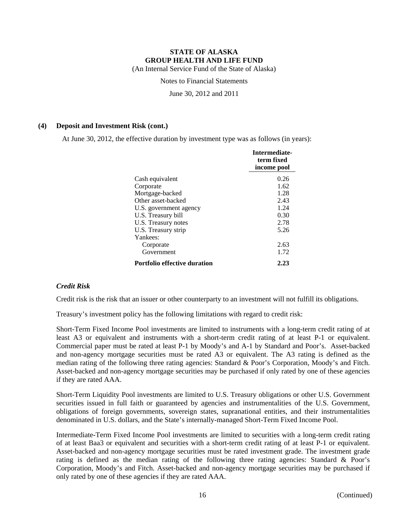Notes to Financial Statements

June 30, 2012 and 2011

#### **(4) Deposit and Investment Risk (cont.)**

At June 30, 2012, the effective duration by investment type was as follows (in years):

|                                     | Intermediate-<br>term fixed<br>income pool |
|-------------------------------------|--------------------------------------------|
| Cash equivalent                     | 0.26                                       |
| Corporate                           | 1.62                                       |
| Mortgage-backed                     | 1.28                                       |
| Other asset-backed                  | 2.43                                       |
| U.S. government agency              | 1.24                                       |
| U.S. Treasury bill                  | 0.30                                       |
| U.S. Treasury notes                 | 2.78                                       |
| U.S. Treasury strip                 | 5.26                                       |
| Yankees:                            |                                            |
| Corporate                           | 2.63                                       |
| Government                          | 1.72                                       |
| <b>Portfolio effective duration</b> | 2.23                                       |

## *Credit Risk*

Credit risk is the risk that an issuer or other counterparty to an investment will not fulfill its obligations.

Treasury's investment policy has the following limitations with regard to credit risk:

Short-Term Fixed Income Pool investments are limited to instruments with a long-term credit rating of at least A3 or equivalent and instruments with a short-term credit rating of at least P-1 or equivalent. Commercial paper must be rated at least P-1 by Moody's and A-1 by Standard and Poor's. Asset-backed and non-agency mortgage securities must be rated A3 or equivalent. The A3 rating is defined as the median rating of the following three rating agencies: Standard & Poor's Corporation, Moody's and Fitch. Asset-backed and non-agency mortgage securities may be purchased if only rated by one of these agencies if they are rated AAA.

Short-Term Liquidity Pool investments are limited to U.S. Treasury obligations or other U.S. Government securities issued in full faith or guaranteed by agencies and instrumentalities of the U.S. Government, obligations of foreign governments, sovereign states, supranational entities, and their instrumentalities denominated in U.S. dollars, and the State's internally-managed Short-Term Fixed Income Pool.

Intermediate-Term Fixed Income Pool investments are limited to securities with a long-term credit rating of at least Baa3 or equivalent and securities with a short-term credit rating of at least P-1 or equivalent. Asset-backed and non-agency mortgage securities must be rated investment grade. The investment grade rating is defined as the median rating of the following three rating agencies: Standard & Poor's Corporation, Moody's and Fitch. Asset-backed and non-agency mortgage securities may be purchased if only rated by one of these agencies if they are rated AAA.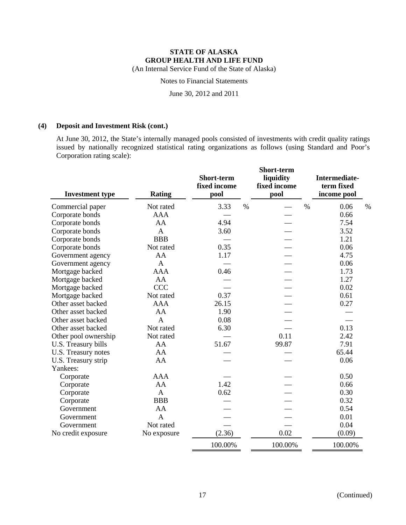Notes to Financial Statements

June 30, 2012 and 2011

#### **(4) Deposit and Investment Risk (cont.)**

At June 30, 2012, the State's internally managed pools consisted of investments with credit quality ratings issued by nationally recognized statistical rating organizations as follows (using Standard and Poor's Corporation rating scale):

| <b>Investment type</b> | <b>Rating</b>  | Short-term<br>fixed income<br>pool |      | Short-term<br>liquidity<br>fixed income<br>pool |   | Intermediate-<br>term fixed<br>income pool |      |
|------------------------|----------------|------------------------------------|------|-------------------------------------------------|---|--------------------------------------------|------|
| Commercial paper       | Not rated      | 3.33                               | $\%$ |                                                 | % | 0.06                                       | $\%$ |
| Corporate bonds        | <b>AAA</b>     |                                    |      |                                                 |   | 0.66                                       |      |
| Corporate bonds        | AA             | 4.94                               |      |                                                 |   | 7.54                                       |      |
| Corporate bonds        | $\mathbf{A}$   | 3.60                               |      |                                                 |   | 3.52                                       |      |
| Corporate bonds        | <b>BBB</b>     |                                    |      |                                                 |   | 1.21                                       |      |
| Corporate bonds        | Not rated      | 0.35                               |      |                                                 |   | 0.06                                       |      |
| Government agency      | AA             | 1.17                               |      |                                                 |   | 4.75                                       |      |
| Government agency      | $\mathbf{A}$   |                                    |      |                                                 |   | 0.06                                       |      |
| Mortgage backed        | <b>AAA</b>     | 0.46                               |      |                                                 |   | 1.73                                       |      |
| Mortgage backed        | AA             |                                    |      |                                                 |   | 1.27                                       |      |
| Mortgage backed        | <b>CCC</b>     |                                    |      |                                                 |   | 0.02                                       |      |
| Mortgage backed        | Not rated      | 0.37                               |      |                                                 |   | 0.61                                       |      |
| Other asset backed     | <b>AAA</b>     | 26.15                              |      |                                                 |   | 0.27                                       |      |
| Other asset backed     | AA             | 1.90                               |      |                                                 |   |                                            |      |
| Other asset backed     | $\mathbf{A}$   | 0.08                               |      |                                                 |   |                                            |      |
| Other asset backed     | Not rated      | 6.30                               |      |                                                 |   | 0.13                                       |      |
| Other pool ownership   | Not rated      |                                    |      | 0.11                                            |   | 2.42                                       |      |
| U.S. Treasury bills    | AA             | 51.67                              |      | 99.87                                           |   | 7.91                                       |      |
| U.S. Treasury notes    | AA             |                                    |      |                                                 |   | 65.44                                      |      |
| U.S. Treasury strip    | AA             |                                    |      |                                                 |   | 0.06                                       |      |
| Yankees:               |                |                                    |      |                                                 |   |                                            |      |
| Corporate              | <b>AAA</b>     |                                    |      |                                                 |   | 0.50                                       |      |
| Corporate              | AA             | 1.42                               |      |                                                 |   | 0.66                                       |      |
| Corporate              | $\mathbf{A}$   | 0.62                               |      |                                                 |   | 0.30                                       |      |
| Corporate              | <b>BBB</b>     |                                    |      |                                                 |   | 0.32                                       |      |
| Government             | AA             |                                    |      |                                                 |   | 0.54                                       |      |
| Government             | $\overline{A}$ |                                    |      |                                                 |   | 0.01                                       |      |
| Government             | Not rated      |                                    |      |                                                 |   | 0.04                                       |      |
| No credit exposure     | No exposure    | (2.36)                             |      | 0.02                                            |   | (0.09)                                     |      |
|                        |                | 100.00%                            |      | 100.00%                                         |   | 100.00%                                    |      |